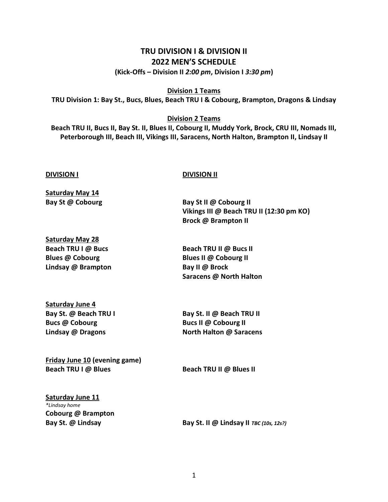## **TRU DIVISION I & DIVISION II 2022 MEN'S SCHEDULE**

**(Kick-Offs – Division II** *2:00 pm***, Division I** *3:30 pm***)**

**Division 1 Teams**

**TRU Division 1: Bay St., Bucs, Blues, Beach TRU I & Cobourg, Brampton, Dragons & Lindsay**

## **Division 2 Teams**

**Beach TRU II, Bucs II, Bay St. II, Blues II, Cobourg II, Muddy York, Brock, CRU III, Nomads III, Peterborough III, Beach III, Vikings III, Saracens, North Halton, Brampton II, Lindsay II**

#### **DIVISION I DIVISION II**

**Saturday May 14 Bay St @ Cobourg Bay St II @ Cobourg II**

**Saturday May 28 Beach TRU I @ Bucs Beach TRU II @ Bucs II Blues @ Cobourg Blues II @ Cobourg II Lindsay @ Brampton Bay II @ Brock**

**Vikings III @ Beach TRU II (12:30 pm KO) Brock @ Brampton II**

**Saracens @ North Halton**

**Saturday June 4 Bucs @ Cobourg Bucs II @ Cobourg II**

**Bay St. @ Beach TRU I Bay St. II @ Beach TRU II Lindsay @ Dragons North Halton @ Saracens**

**Friday June 10 (evening game) Beach TRU I @ Blues Beach TRU II @ Blues II**

**Saturday June 11** *\*Lindsay home* **Cobourg @ Brampton**

**Bay St. @ Lindsay Bay St. II @ Lindsay II** *TBC (10s, 12s?)*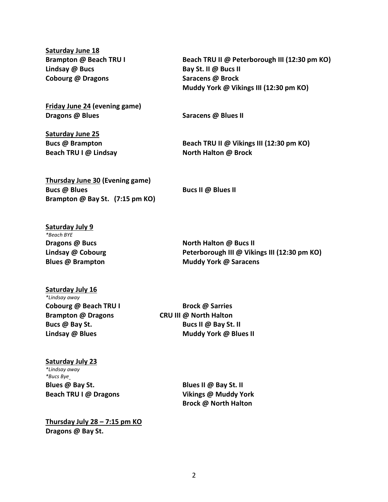**Saturday June 18 Lindsay @ Bucs Bay St. II @ Bucs II Cobourg @ Dragons Saracens @ Brock**

**Friday June 24 (evening game) Dragons @ Blues Saracens @ Blues II**

**Saturday June 25 Beach TRU I @ Lindsay North Halton @ Brock**

**Brampton @ Beach TRU I Beach TRU II @ Peterborough III (12:30 pm KO) Muddy York @ Vikings III (12:30 pm KO)**

**Bucs @ Brampton Beach TRU II @ Vikings III (12:30 pm KO)**

**Thursday June 30 (Evening game) Bucs @ Blues Bucs II @ Blues II Brampton @ Bay St. (7:15 pm KO)**

**Saturday July 9** *\*Beach BYE*

**Dragons** @ Bucs **North Halton @ Bucs II Lindsay @ Cobourg Peterborough III @ Vikings III (12:30 pm KO) Blues @ Brampton Muddy York @ Saracens**

# **Saturday July 16** *\*Lindsay away* **Cobourg @ Beach TRU I Brock @ Sarries Brampton @ Dragons CRU III @ North Halton**

**Bucs @ Bay St. Bucs II @ Bay St. II Lindsay @ Blues Muddy York @ Blues II**

## **Saturday July 23** *\*Lindsay away*

*\*Bucs Bye* **Blues @ Bay St. Blues II @ Bay St. II Beach TRU I @ Dragons Vikings @ Muddy York**

**Brock @ North Halton**

**Thursday July 28 – 7:15 pm KO Dragons @ Bay St.**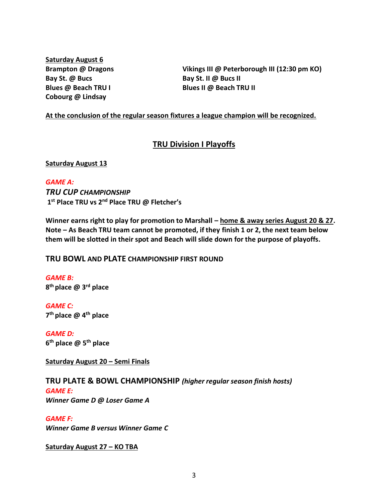**Saturday August 6 Bay St. @ Bucs Bay St. II @ Bucs II Cobourg @ Lindsay**

**Brampton @ Dragons Vikings III @ Peterborough III (12:30 pm KO) Blues @ Beach TRU I Blues II @ Beach TRU II** 

## **At the conclusion of the regular season fixtures a league champion will be recognized.**

## **TRU Division I Playoffs**

#### **Saturday August 13**

## *GAME A:*

*TRU CUP CHAMPIONSHIP* **1 st Place TRU vs 2nd Place TRU @ Fletcher's**

**Winner earns right to play for promotion to Marshall – home & away series August 20 & 27. Note – As Beach TRU team cannot be promoted, if they finish 1 or 2, the next team below them will be slotted in their spot and Beach will slide down for the purpose of playoffs.**

## **TRU BOWL AND PLATE CHAMPIONSHIP FIRST ROUND**

*GAME B:* **8 th place @ 3rd place**

*GAME C:*  **7 th place @ 4th place**

*GAME D:* **6 th place @ 5th place**

**Saturday August 20 – Semi Finals**

## **TRU PLATE & BOWL CHAMPIONSHIP** *(higher regular season finish hosts)*

#### *GAME E: Winner Game D @ Loser Game A*

*GAME F: Winner Game B versus Winner Game C* 

#### **Saturday August 27 – KO TBA**